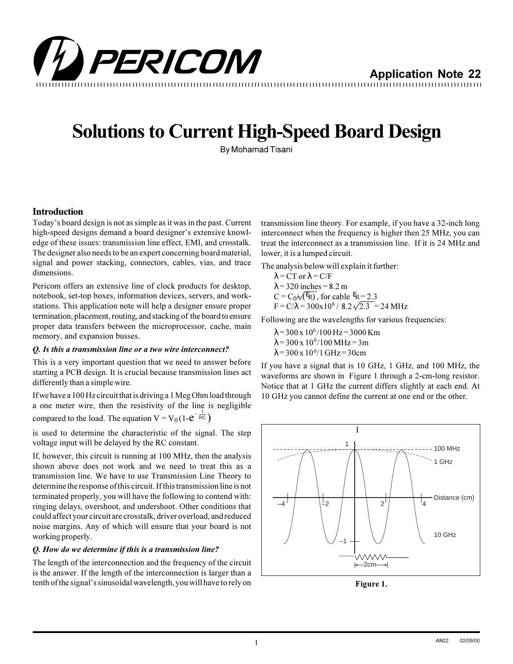

# **Solutions to Current High-Speed Board Design**

By Mohamad Tisani

### **Introduction**

Today's board design is not as simple as it was in the past. Current high-speed designs demand a board designer's extensive knowledge of these issues: transmission line effect, EMI, and crosstalk. The designer also needs to be an expert concerning board material, signal and power stacking, connectors, cables, vias, and trace dimensions.

Pericom offers an extensive line of clock products for desktop, notebook, set-top boxes, information devices, servers, and workstations. This application note will help a designer ensure proper termination, placement, routing, and stacking of the board to ensure proper data transfers between the microprocessor, cache, main memory, and expansion busses.

#### *Q. Is this a transmission line or a two wire interconnect?*

This is a very important question that we need to answer before starting a PCB design. It is crucial because transmission lines act differently than a simple wire.

If we have a 100 Hz circuit that is driving a 1 Meg Ohm load through a one meter wire, then the resistivity of the line is negligible compared to the load. The equation  $V = V_0(1-e^{-\frac{t}{RC}})$ 

is used to determine the characteristic of the signal. The step voltage input will be delayed by the RC constant.

If, however, this circuit is running at 100 MHz, then the analysis shown above does not work and we need to treat this as a transmission line. We have to use Transmission Line Theory to determine the response of this circuit. If this transmission line is not terminated properly, you will have the following to contend with: ringing delays, overshoot, and undershoot. Other conditions that could affect your circuit are crosstalk, driver overload, and reduced noise margins. Any of which will ensure that your board is not working properly.

#### *Q. How do we determine if this is a transmission line?*

The length of the interconnection and the frequency of the circuit is the answer. If the length of the interconnection is larger than a tenth of the signal's sinusoidal wavelength, you will have to rely on

transmission line theory. For example, if you have a 32-inch long interconnect when the frequency is higher then 25 MHz, you can treat the interconnect as a transmission line. If it is 24 MHz and lower, it is a lumped circuit.

The analysis below will explain it further:

 $\lambda$  = CT or  $\lambda$  = C/F  $\lambda$  = 320 inches = 8.2 m  $C = C_0 \sqrt{\mathcal{E}_{\text{R}}}$ , for cable  $\mathcal{E}_{\text{R}} = 2.3$  $F = C/\lambda = 300x10^6 / 8.2 \sqrt{2.3} = 24 \text{ MHz}$ 

Following are the wavelengths for various frequencies:

- $\lambda$  = 300 x 10<sup>6</sup>/100 Hz = 3000 Km
- $\lambda$  = 300 x 10<sup>6</sup>/100 MHz = 3m
- $\lambda = 300 \times 10^{6} / 1 \text{ GHz} = 30 \text{cm}$

If you have a signal that is 10 GHz, 1 GHz, and 100 MHz, the waveforms are shown in Figure 1 through a 2-cm-long resistor. Notice that at 1 GHz the current differs slightly at each end. At 10 GHz you cannot define the current at one end or the other.



**Figure 1.**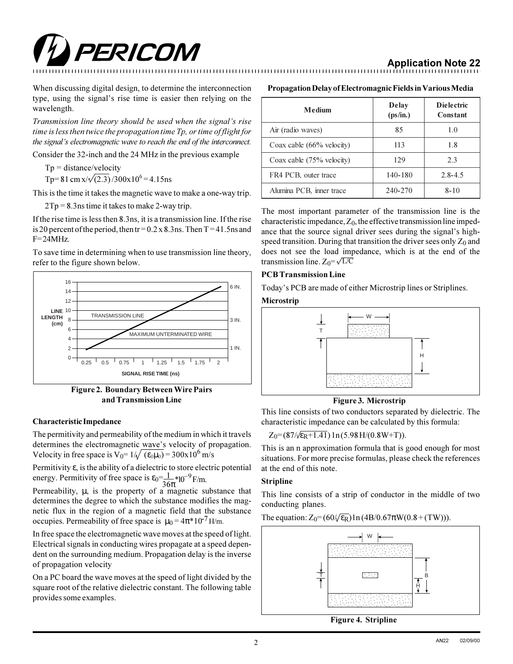

## **Application Note 22**

When discussing digital design, to determine the interconnection type, using the signal's rise time is easier then relying on the wavelength.

*Transmission line theory should be used when the signal's rise time is less then twice the propagation time Tp, or time of flight for the signal's electromagnetic wave to reach the end of the interconnect.* 

Consider the 32-inch and the 24 MHz in the previous example

 $Tp = distance/velocity$ 

Tp=81 cm  $x/\sqrt{(2.3)}/300x10^6$  = 4.15ns

This is the time it takes the magnetic wave to make a one-way trip.

2Tp = 8.3ns time it takes to make 2-way trip.

If the rise time is less then 8.3ns, it is a transmission line. If the rise is 20 percent of the period, then tr =  $0.2 \times 8.3$  ns. Then T = 41.5 ns and  $F=24$ MHz.

To save time in determining when to use transmission line theory, refer to the figure shown below.



**Figure 2. Boundary Between Wire Pairs and Transmission Line Figure 3. Microstrip** 

#### **Characteristic Impedance**

The permitivity and permeability of the medium in which it travels determines the electromagnetic wave's velocity of propagation. Velocity in free space is  $V_0 = 1/\sqrt{(\epsilon_0 \mu_0)} = 300 \times 10^6$  m/s

Permitivity ε, is the ability of a dielectric to store electric potential energy. Permitivity of free space is  $\varepsilon_0 = \frac{1}{26}$  $\frac{1}{36\pi}$ \*10<sup>-9</sup> F/m.

Permeability,  $\mu$ , is the property of a magnetic substance that determines the degree to which the substance modifies the magnetic flux in the region of a magnetic field that the substance occupies. Permeability of free space is  $\mu_0 = 4\pi * 10^{-7}$  H/m.

In free space the electromagnetic wave moves at the speed of light. Electrical signals in conducting wires propagate at a speed dependent on the surrounding medium. Propagation delay is the inverse of propagation velocity

On a PC board the wave moves at the speed of light divided by the square root of the relative dielectric constant. The following table provides some examples.

#### **Propagation Delay of Electromagnic Fields in Various Media**

| Medium                               | Delay<br>(ps/in.) | <b>Dielectric</b><br>Constant |
|--------------------------------------|-------------------|-------------------------------|
| Air (radio waves)                    | 85                | 1.0                           |
| Coax cable $(66\% \text{ velocity})$ | 113               | 1.8                           |
| Coax cable (75% velocity)            | 129               | 2.3                           |
| FR4 PCB, outer trace                 | 140-180           | $2.8 - 4.5$                   |
| Alumina PCB, inner trace             | 240-270           | 8-10                          |

The most important parameter of the transmission line is the characteristic impedance,  $Z_0$ , the effective transmission line impedance that the source signal driver sees during the signal's highspeed transition. During that transition the driver sees only  $Z_0$  and does not see the load impedance, which is at the end of the transmission line.  $Z_0 = \sqrt{L/C}$ 

#### **PCB Transmission Line**

Today's PCB are made of either Microstrip lines or Striplines.

#### **Microstrip**



This line consists of two conductors separated by dielectric. The characteristic impedance can be calculated by this formula:

 $Z_0 = (87/\sqrt{\epsilon_R + 1.41}) \ln(5.98 \text{ H}/(0.8 \text{W} + \text{T})).$ 

This is an n approximation formula that is good enough for most situations. For more precise formulas, please check the references at the end of this note.

#### **Stripline**

This line consists of a strip of conductor in the middle of two conducting planes.

The equation:  $Z_0 = (60/\sqrt{\epsilon_R}) \ln(4B/0.67\pi W(0.8 + (TW))).$ 

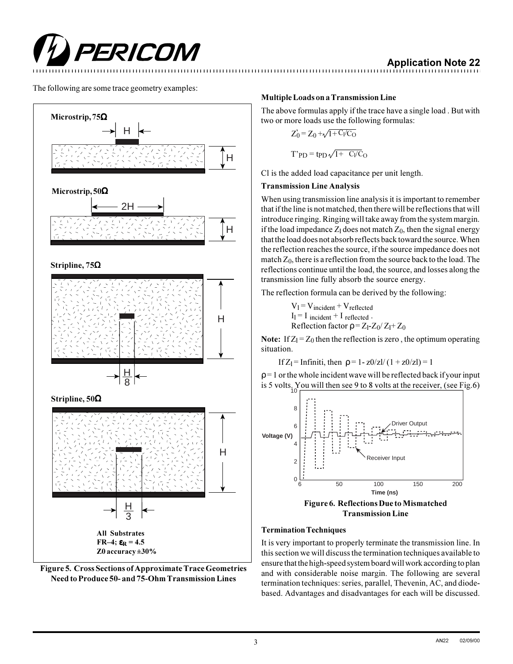

The following are some trace geometry examples:





### **Multiple Loads on a Transmission Line**

The above formulas apply if the trace have a single load . But with two or more loads use the following formulas:

$$
Z_0' = Z_0 + \sqrt{1 + C_1/C_0}
$$

$$
T'PD = tpD\sqrt{1+ C_I/C_O}
$$

Cl is the added load capacitance per unit length.

#### **Transmission Line Analysis**

When using transmission line analysis it is important to remember that if the line is not matched, then there will be reflections that will introduce ringing. Ringing will take away from the system margin. if the load impedance  $Z_1$  does not match  $Z_0$ , then the signal energy that the load does not absorb reflects back toward the source. When the reflection reaches the source, if the source impedance does not match  $Z_0$ , there is a reflection from the source back to the load. The reflections continue until the load, the source, and losses along the transmission line fully absorb the source energy.

The reflection formula can be derived by the following:

 $V_1 = V_{\text{incident}} + V_{\text{reflected}}$  $I_1 = I$  incident  $+ I$  reflected. Reflection factor  $\rho = Z_1-Z_0/Z_1+Z_0$ 

**Note:** If  $Z_1 = Z_0$  then the reflection is zero, the optimum operating situation.

If  $Z_1$  = Infiniti, then  $\rho = 1 - z0/zl/(1 + z0/zl) = 1$ 

 $p = 1$  or the whole incident wave will be reflected back if your input is 5 volts. You will then see 9 to 8 volts at the receiver, (see Fig.6)



#### **Termination Techniques**

It is very important to properly terminate the transmission line. In this section we will discuss the termination techniques available to ensure that the high-speed system board will work according to plan and with considerable noise margin. The following are several termination techniques: series, parallel, Thevenin, AC, and diodebased. Advantages and disadvantages for each will be discussed.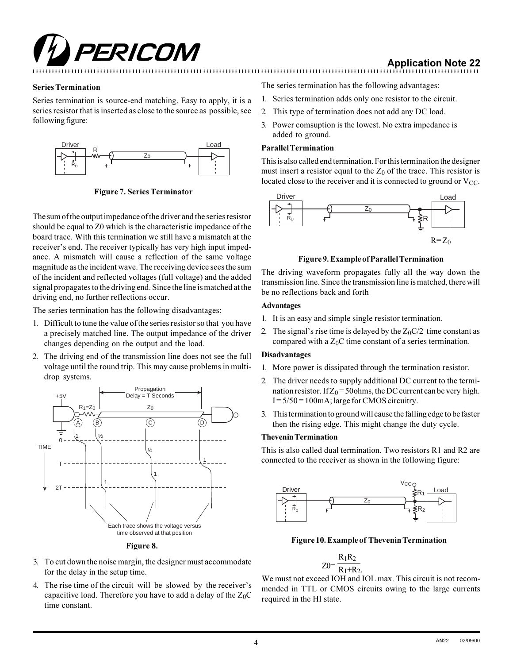

## **Application Note 22**

#### **Series Termination**

Series termination is source-end matching. Easy to apply, it is a series resistor that is inserted as close to the source as possible, see following figure:



**Figure 7. Series Terminator**

The sum of the output impedance of the driver and the series resistor should be equal to Z0 which is the characteristic impedance of the board trace. With this termination we still have a mismatch at the receiver's end. The receiver typically has very high input impedance. A mismatch will cause a reflection of the same voltage magnitude as the incident wave. The receiving device sees the sum of the incident and reflected voltages (full voltage) and the added signal propagates to the driving end. Since the line is matched at the driving end, no further reflections occur.

The series termination has the following disadvantages:

- 1. Difficult to tune the value of the series resistor so that you have a precisely matched line. The output impedance of the driver changes depending on the output and the load.
- 2. The driving end of the transmission line does not see the full voltage until the round trip. This may cause problems in multidrop systems.





- 3. To cut down the noise margin, the designer must accommodate for the delay in the setup time.
- 4. The rise time of the circuit will be slowed by the receiver's capacitive load. Therefore you have to add a delay of the  $Z_0C$ time constant.

The series termination has the following advantages:

- 1. Series termination adds only one resistor to the circuit.
- 2. This type of termination does not add any DC load.
- 3. Power comsuption is the lowest. No extra impedance is added to ground.

#### **Parallel Termination**

This is also called end termination. For this termination the designer must insert a resistor equal to the  $Z_0$  of the trace. This resistor is located close to the receiver and it is connected to ground or  $V_{CC}$ .



#### **Figure 9. Example of Parallel Termination**

The driving waveform propagates fully all the way down the transmission line. Since the transmission line is matched, there will be no reflections back and forth

#### **Advantages**

- 1. It is an easy and simple single resistor termination.
- 2. The signal's rise time is delayed by the  $Z_0C/2$  time constant as compared with a  $Z_0C$  time constant of a series termination.

#### **Disadvantages**

- 1. More power is dissipated through the termination resistor.
- 2. The driver needs to supply additional DC current to the termination resistor. If  $Z_0 = 50$  ohms, the DC current can be very high.  $I = 5/50 = 100$  mA; large for CMOS circuitry.
- 3. This termination to ground will cause the falling edge to be faster then the rising edge. This might change the duty cycle.

#### **Thevenin Termination**

This is also called dual termination. Two resistors R1 and R2 are connected to the receiver as shown in the following figure:



**Figure 10. Example of Thevenin Termination**

$$
Z0=\frac{R_1R_2}{R_1+R_2}.
$$

We must not exceed IOH and IOL max. This circuit is not recommended in TTL or CMOS circuits owing to the large currents required in the HI state.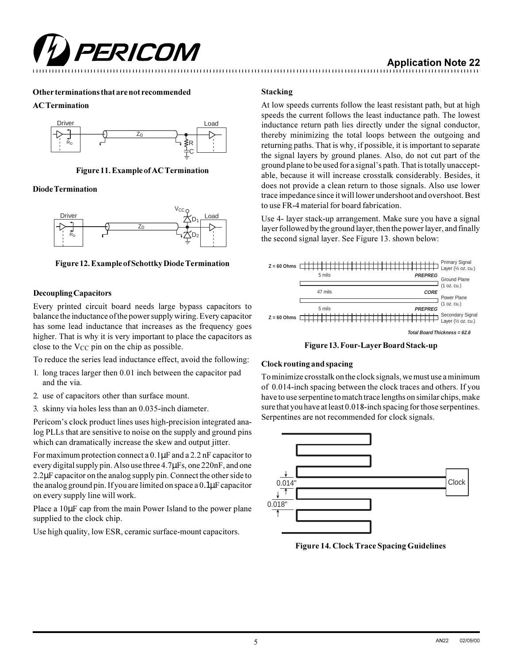

## **Application Note 22**

#### **Other terminations that are not recommended**

#### **AC Termination**



**Figure 11. Example of AC Termination**

#### **Diode Termination**



**Figure 12. Example of Schottky Diode Termination**

#### **Decoupling Capacitors**

Every printed circuit board needs large bypass capacitors to balance the inductance of the power supply wiring. Every capacitor has some lead inductance that increases as the frequency goes higher. That is why it is very important to place the capacitors as close to the  $V_{CC}$  pin on the chip as possible.

To reduce the series lead inductance effect, avoid the following:

- 1. long traces larger then 0.01 inch between the capacitor pad and the via.
- 2. use of capacitors other than surface mount.
- 3. skinny via holes less than an 0.035-inch diameter.

Pericom's clock product lines uses high-precision integrated analog PLLs that are sensitive to noise on the supply and ground pins which can dramatically increase the skew and output jitter.

For maximum protection connect a 0.1µF and a 2.2 nF capacitor to every digital supply pin. Also use three 4.7µFs, one 220nF, and one 2.2µF capacitor on the analog supply pin. Connect the other side to the analog ground pin. If you are limited on space a 0.1µF capacitor on every supply line will work.

Place a  $10\mu$ F cap from the main Power Island to the power plane supplied to the clock chip.

Use high quality, low ESR, ceramic surface-mount capacitors.

#### **Stacking**

At low speeds currents follow the least resistant path, but at high speeds the current follows the least inductance path. The lowest inductance return path lies directly under the signal conductor, thereby minimizing the total loops between the outgoing and returning paths. That is why, if possible, it is important to separate the signal layers by ground planes. Also, do not cut part of the ground plane to be used for a signal's path. That is totally unacceptable, because it will increase crosstalk considerably. Besides, it does not provide a clean return to those signals. Also use lower trace impedance since it will lower undershoot and overshoot. Best to use FR-4 material for board fabrication.

Use 4- layer stack-up arrangement. Make sure you have a signal layer followed by the ground layer, then the power layer, and finally the second signal layer. See Figure 13. shown below:



**Figure 13. Four-Layer Board Stack-up**

#### **Clock routing and spacing**

To minimize crosstalk on the clock signals, we must use a minimum of 0.014-inch spacing between the clock traces and others. If you have to use serpentine to match trace lengths on similar chips, make sure that you have at least 0.018-inch spacing for those serpentines. Serpentines are not recommended for clock signals.



**Figure 14. Clock Trace Spacing Guidelines**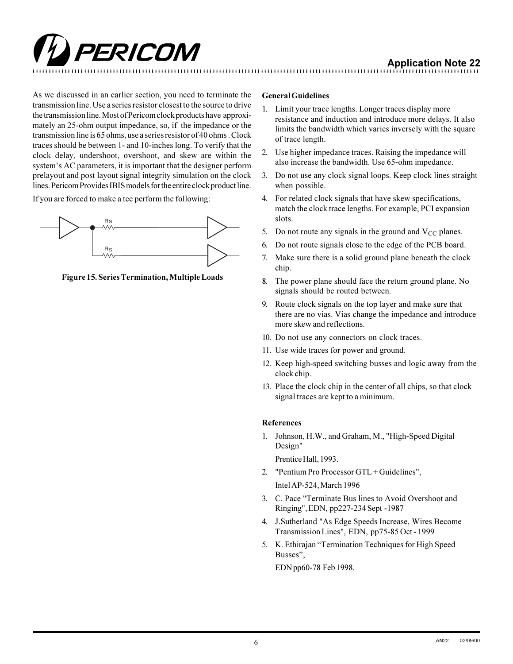

As we discussed in an earlier section, you need to terminate the transmission line. Use a series resistor closest to the source to drive the transmission line. Most of Pericom clock products have approximately an 25-ohm output impedance, so, if the impedance or the transmission line is 65 ohms, use a series resistor of 40 ohms . Clock traces should be between 1- and 10-inches long. To verify that the clock delay, undershoot, overshoot, and skew are within the system's AC parameters, it is important that the designer perform prelayout and post layout signal integrity simulation on the clock lines. Pericom Provides IBIS models for the entire clock product line.

If you are forced to make a tee perform the following:



**Figure 15. Series Termination, Multiple Loads**

#### **General Guidelines**

- 1. Limit your trace lengths. Longer traces display more resistance and induction and introduce more delays. It also limits the bandwidth which varies inversely with the square of trace length.
- 2. Use higher impedance traces. Raising the impedance will also increase the bandwidth. Use 65-ohm impedance.
- 3. Do not use any clock signal loops. Keep clock lines straight when possible.
- 4. For related clock signals that have skew specifications, match the clock trace lengths. For example, PCI expansion slots.
- 5. Do not route any signals in the ground and  $V_{CC}$  planes.
- 6. Do not route signals close to the edge of the PCB board.
- 7. Make sure there is a solid ground plane beneath the clock chip.
- 8. The power plane should face the return ground plane. No signals should be routed between.
- 9. Route clock signals on the top layer and make sure that there are no vias. Vias change the impedance and introduce more skew and reflections.
- 10. Do not use any connectors on clock traces.
- 11. Use wide traces for power and ground.
- 12. Keep high-speed switching busses and logic away from the clock chip.
- 13. Place the clock chip in the center of all chips, so that clock signal traces are kept to a minimum.

#### **References**

1. Johnson, H.W., and Graham, M., "High-Speed Digital Design"

Prentice Hall, 1993.

2. "Pentium Pro Processor GTL + Guidelines",

Intel AP-524, March 1996

- 3. C. Pace "Terminate Bus lines to Avoid Overshoot and Ringing", EDN, pp227-234 Sept -1987
- 4. J.Sutherland "As Edge Speeds Increase, Wires Become Transmission Lines", EDN, pp75-85 Oct - 1999
- 5. K. Ethirajan "Termination Techniques for High Speed Busses",

EDN pp60-78 Feb 1998.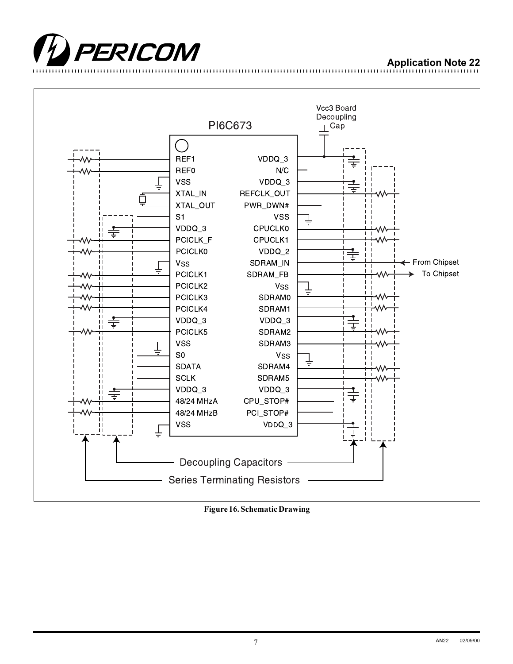



**Figure 16. Schematic Drawing**